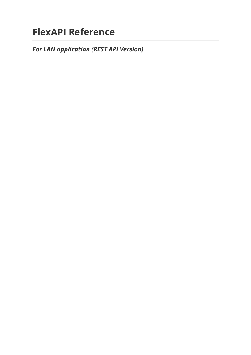# **FlexAPI Reference**

*For LAN application (REST API Version)*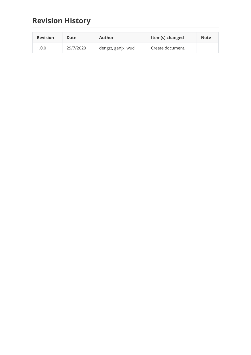# **Revision History**

| <b>Revision</b> | Date      | Author              | Item(s) changed  | <b>Note</b> |
|-----------------|-----------|---------------------|------------------|-------------|
| 1.0.0           | 29/7/2020 | dengzt, ganjx, wucl | Create document. |             |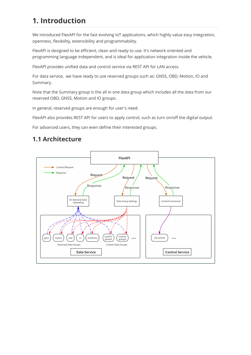# **1. Introduction**

We introduced FlexAPI for the fast evolving IoT applications, which highly value easy integration, openness, flexibility, extensibility and programmability.

FlexAPI is designed to be efficient, clean and ready to use. It's network oriented and programming language independent, and is ideal for application integration inside the vehicle.

FlexAPI provides unified data and control service via REST API for LAN access.

For data service, we have ready to use reserved groups such as: GNSS, OBD, Motion, IO and Summary.

Note that the Summary group is the all in one data group which includes all the data from our reserved OBD, GNSS, Motion and IO groups.

In general, reserved groups are enough for user's need.

FlexAPI also provides REST API for users to apply control, such as turn on/off the digital output.

For advanced users, they can even define their interested groups.

# **1.1 Architecture**

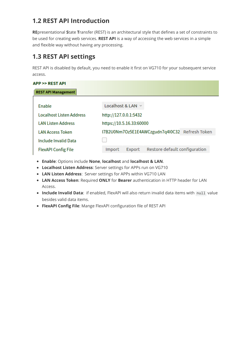# **1.2 REST API Introduction**

**RE**presentational **S**tate **T**ransfer (REST) is an architectural style that defines a set of constraints to be used for creating web services. **REST API** is a way of accessing the web services in a simple and flexible way without having any processing.

# <span id="page-3-0"></span>**1.3 REST API settings**

REST API is disabled by default, you need to enable it first on VG710 for your subsequent service access.

| <b>APP &gt;&gt; REST API</b>    |                                                          |  |  |  |
|---------------------------------|----------------------------------------------------------|--|--|--|
| <b>REST API Management</b>      |                                                          |  |  |  |
|                                 |                                                          |  |  |  |
| Enable                          | Localhost & LAN $\sim$                                   |  |  |  |
| <b>Localhost Listen Address</b> | http://127.0.0.1:5432                                    |  |  |  |
| <b>LAN Listen Address</b>       | https://10.5.16.33:60000                                 |  |  |  |
| <b>LAN Access Token</b>         | I7B2U0Nm7Oz5E1E4AWCzgudn7q4I0C32 Refresh Token           |  |  |  |
| Include Invalid Data            |                                                          |  |  |  |
| <b>FlexAPI Config File</b>      | Restore default configuration<br><b>Import</b><br>Export |  |  |  |

- **Enable**: Options include **None**, **localhost** and **localhost & LAN**.
- **Localhost Listen Address**: Server settings for APPs run on VG710
- **LAN Listen Address**: Server settings for APPs within VG710 LAN
- **LAN Access Token**: Required **ONLY** for **Bearer** authentication in HTTP header for LAN Access.
- Include Invalid Data: if enabled, FlexAPI will also return invalid data items with null value besides valid data items.
- **FlexAPI Config File**: Mange FlexAPI configuration file of REST API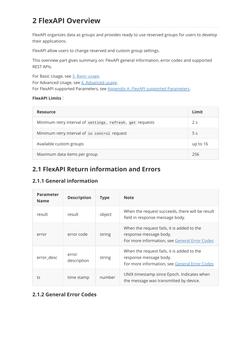# **2 FlexAPI Overview**

FlexAPI organizes data as groups and provides ready to use reserved groups for users to develop their applications.

FlexAPI allow users to change reserved and custom group settings.

This overview part gives summary on: FlexAPI general information, error codes and supported REST APIs.

For Basic Usage, see [3. Basic usage](#page-8-0). For Advanced Usage, see [4. Advanced usage](#page-24-0). For FlexAPI supported Parameters, see [Appendix A. FlexAPI supported Parameters.](#page-29-0)

### **FlexAPI Limits**:

| <b>Resource</b>                                           | Limit          |
|-----------------------------------------------------------|----------------|
| Minimum retry interval of settings, refresh, get requests | 2 <sub>s</sub> |
| Minimum retry interval of io control request              | 5 <sub>s</sub> |
| Available custom groups                                   | up to 16       |
| Maximum data items per group                              | 256            |

# **2.1 FlexAPI Return information and Errors**

# <span id="page-4-1"></span>**2.1.1 General information**

| <b>Parameter</b><br><b>Name</b> | <b>Description</b>   | <b>Type</b> | <b>Note</b>                                                                                                           |
|---------------------------------|----------------------|-------------|-----------------------------------------------------------------------------------------------------------------------|
| result                          | result               | object      | When the request succeeds, there will be result<br>field in response message body.                                    |
| error                           | error code           | string      | When the request fails, it is added to the<br>response message body.<br>For more information, see General Error Codes |
| error_desc                      | error<br>description | string      | When the request fails, it is added to the<br>response message body.<br>For more information, see General Error Codes |
| ts                              | time stamp           | number      | UNIX timestamp since Epoch. Indicates when<br>the message was transmitted by device.                                  |

# <span id="page-4-0"></span>**2.1.2 General Error Codes**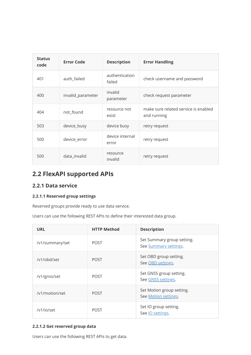| <b>Status</b><br>code | <b>Error Code</b> | <b>Description</b>       | <b>Error Handling</b>                               |
|-----------------------|-------------------|--------------------------|-----------------------------------------------------|
| 401                   | auth_failed       | authentication<br>failed | check username and password                         |
| 400                   | invalid_parameter | invalid<br>parameter     | check request parameter                             |
| 404                   | not_found         | resource not<br>exist    | make sure related service is enabled<br>and running |
| 503                   | device_busy       | device busy              | retry request                                       |
| 500                   | device_error      | device internal<br>error | retry request                                       |
| 500                   | data_invalid      | resource<br>invalid      | retry request                                       |

# **2.2 FlexAPI supported APIs**

## **2.2.1 Data service**

### **2.2.1.1 Reserved group settings**

Reserved groups provide ready to use data service.

Users can use the following REST APIs to define their interested data group.

| <b>URL</b>      | <b>HTTP Method</b> | <b>Description</b>                                  |
|-----------------|--------------------|-----------------------------------------------------|
| /v1/summary/set | <b>POST</b>        | Set Summary group setting.<br>See Summary settings. |
| /v1/obd/set     | <b>POST</b>        | Set OBD group setting.<br>See OBD settings.         |
| /v1/gnss/set    | <b>POST</b>        | Set GNSS group setting.<br>See GNSS settings.       |
| /v1/motion/set  | <b>POST</b>        | Set Motion group setting.<br>See Motion settings.   |
| /v1/io/set      | <b>POST</b>        | Set IO group setting.<br>See <i>IO</i> settings.    |

### **2.2.1.2 Get reserved group data**

Users can use the following REST APIs to get data.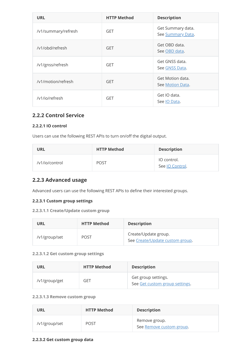| <b>URL</b>          | <b>HTTP Method</b> | <b>Description</b>                     |
|---------------------|--------------------|----------------------------------------|
| /v1/summary/refresh | <b>GET</b>         | Get Summary data.<br>See Summary Data. |
| /v1/obd/refresh     | <b>GET</b>         | Get OBD data.<br>See OBD data.         |
| /v1/gnss/refresh    | <b>GET</b>         | Get GNSS data.<br>See GNSS Data.       |
| /v1/motion/refresh  | <b>GET</b>         | Get Motion data.<br>See Motion Data.   |
| /v1/io/refresh      | <b>GET</b>         | Get IO data.<br>See IO Data.           |

## **2.2.2 Control Service**

### **2.2.2.1 IO control**

Users can use the following REST APIs to turn on/off the digital output.

| <b>URL</b>     | <b>HTTP Method</b> | <b>Description</b>             |
|----------------|--------------------|--------------------------------|
| /v1/io/control | <b>POST</b>        | IO control.<br>See IO Control. |

# **2.2.3 Advanced usage**

Advanced users can use the following REST APIs to define their interested groups.

### **2.2.3.1 Custom group settings**

### **2.2.3.1.1 Create/Update custom group**

| URL           | <b>HTTP Method</b> | <b>Description</b>                                      |
|---------------|--------------------|---------------------------------------------------------|
| /v1/group/set | <b>POST</b>        | Create/Update group.<br>See Create/Update custom group. |

### **2.2.3.1.2 Get custom group settings**

| URL           | <b>HTTP Method</b> | <b>Description</b>                                    |
|---------------|--------------------|-------------------------------------------------------|
| /v1/group/get | GET                | Get group settings.<br>See Get custom group settings. |

### **2.2.3.1.3 Remove custom group**

| URL           | <b>HTTP Method</b> | <b>Description</b>                        |
|---------------|--------------------|-------------------------------------------|
| /v1/group/set | <b>POST</b>        | Remove group.<br>See Remove custom group. |

### **2.2.3.2 Get custom group data**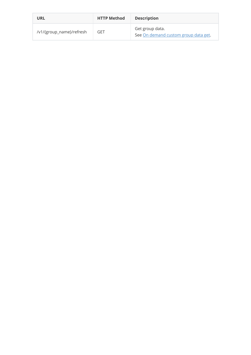| URL                      | <b>HTTP Method</b> | <b>Description</b>                                      |
|--------------------------|--------------------|---------------------------------------------------------|
| /v1/{group_name}/refresh | GET                | Get group data.<br>See On demand custom group data get. |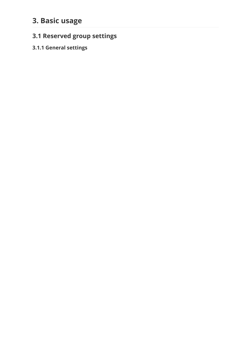# <span id="page-8-0"></span>**3. Basic usage**

# **3.1 Reserved group settings**

# <span id="page-8-1"></span>**3.1.1 General settings**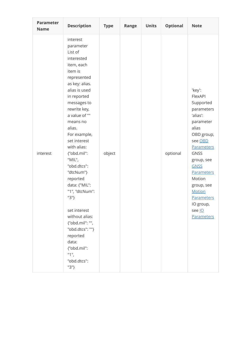| <b>Parameter</b><br><b>Name</b> | <b>Description</b>                                                                                                                                                                                                                                                                                                                                                                                                                                                                                                   | <b>Type</b> | Range | <b>Units</b> | <b>Optional</b> | <b>Note</b>                                                                                                                                                                                                                                                                               |
|---------------------------------|----------------------------------------------------------------------------------------------------------------------------------------------------------------------------------------------------------------------------------------------------------------------------------------------------------------------------------------------------------------------------------------------------------------------------------------------------------------------------------------------------------------------|-------------|-------|--------------|-----------------|-------------------------------------------------------------------------------------------------------------------------------------------------------------------------------------------------------------------------------------------------------------------------------------------|
| interest                        | interest<br>parameter<br>List of<br>interested<br>item, each<br>item is<br>represented<br>as key: alias.<br>alias is used<br>in reported<br>messages to<br>rewrite key,<br>a value of ""<br>means no<br>alias.<br>For example,<br>set interest<br>with alias:<br>{"obd.mil":<br>"MIL",<br>"obd.dtcs":<br>"dtcNum"}<br>reported<br>data: {"MIL":<br>"1", "dtcNum":<br>"3"}<br>set interest<br>without alias:<br>{"obd.mil": "",<br>"obd.dtcs": ""}<br>reported<br>data:<br>{"obd.mil":<br>"1",<br>"obd.dtcs":<br>"3"} | object      |       |              | optional        | 'key':<br>FlexAPI<br>Supported<br>parameters<br>'alias':<br>parameter<br>alias<br>OBD group,<br>see OBD<br><b>Parameters</b><br><b>GNSS</b><br>group, see<br><b>GNSS</b><br><b>Parameters</b><br>Motion<br>group, see<br><b>Motion</b><br>Parameters<br>IO group,<br>see lo<br>Parameters |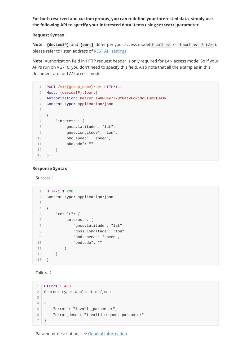### **For both reserved and custom groups, you can redefine your interested data, simply use the following API to specify your interested data items using interest parameter.**

### **Request Syntax**:

**Note** : **{deviceIP}** and **{port}** differ per your access mode( localhost or localhost & LAN ), please refer to listen address of [REST API settings](#page-3-0).

**Note**: Authorization field in HTTP request header is only required for LAN access mode. So if your APPs run on VG710, you don't need to specify this field. Also note that all the examples in this document are for LAN access mode.

```
POST /v1/{group_name}/set HTTP/1.1
1
 Host: {deviceIP}:{port}
2
 Authorization: Bearer iWUFB4y7720f841yLcR10dLTuo2TO4JR
3
    Content-type: application/json
 {
6
        "interest": {
          "gnss.latitude": "lat",
            "gnss.longitude": "lon",
            "obd.speed": "speed",
            "obd.odo": ""
        }
}
13
4
5
7
8
9
10
11
12
```
#### **Response Syntax**:

Success:

```
HTTP/1.1 200
1
    Content-type: application/json
 {
4
     "result": {
          "interest": {
               "gnss.latitude": "lat",
               "gnss.longitude": "lon",
               "obd.speed": "speed",
               "obd.odo": ""
            }
       }
}
13
 2
3
5
 6
7
8
9
10
11
12
```
Failure:

```
HTTP/1.1 400
1
  Content-type: application/json
  \left| \right|"error": "invalid_parameter",
        "error_desc": "Invalid request parameter"
  }
2
\mathcal{L}4
5
6
7
```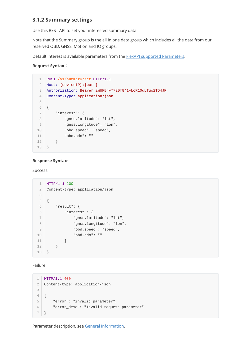## <span id="page-11-0"></span>**3.1.2 Summary settings**

Use this REST API to set your interested summary data.

Note that the Summary group is the all in one data group which includes all the data from our reserved OBD, GNSS, Motion and IO groups.

Default interest is available parameters from the [FlexAPI supported Parameters](#page-29-0).

### **Request Syntax**:

```
POST /v1/summary/set HTTP/1.1
   Host: {deviceIP}:{port}
   Authorization: Bearer iWUFB4y7720f841yLcR10dLTuo2TO4JR
    Content-Type: application/json
 {
6
        "interest": {
           "gnss.latitude": "lat",
            "gnss.longitude": "lon",
            "obd.speed": "speed",
            "obd.odo": ""
        }
}
13
 1
 2
 3
4
 5
7
8
9
10
11
12
```
#### **Response Syntax**:

#### Success:

```
HTTP/1.1 200
    Content-type: application/json
   {
        "result": {
          "interest": {
                "gnss.latitude": "lat",
                "gnss.longitude": "lon",
                "obd.speed": "speed",
                "obd.odo": ""
            }
        }
}
13
1
 2
 3
4
5
6
7
8
9
1011
12
```
Failure:

```
HTTP/1.1 400
1
  Content-type: application/json
  {
       "error": "invalid_parameter",
       "error_desc": "Invalid request parameter"
   }
2
3
4
5
6
7
```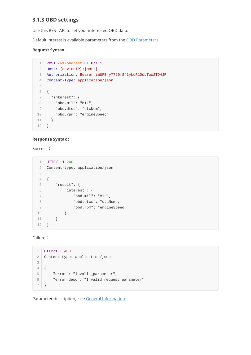## <span id="page-12-0"></span>**3.1.3 OBD settings**

Use this REST API to set your interested OBD data.

Default interest is available parameters from the [OBD Parameters.](#page-31-0)

### **Request Syntax**:

```
POST /v1/obd/set HTTP/1.1
1
 Host: {deviceIP}:{port}
2
 Authorization: Bearer iWUFB4y7720f841yLcR10dLTuo2TO4JR
3
   Content-Type: application/json
 {
6
    "interest": {
      "obd.mil": "MIL",
      "obd.dtcs": "dtcNum",
       "obd.rpm": "engineSpeed"
      }
}
12
4
5
7
8
9
10
11
```
### **Response Syntax** :

Success:

```
HTTP/1.1 200
1
   Content-type: application/json
 {
4
      "result": {
          "interest": {
               "obd.mil": "MIL",
               "obd.dtcs": "dtcNum",
               "obd.rpm": "engineSpeed"
           }
       }
}
12
2
3
5
6
7
8
9
10
11
```
Failure:

```
HTTP/1.1 400
1
  Content-type: application/json
  \{"error": "invalid_parameter",
       "error_desc": "Invalid request parameter"
  }
2
3
4
5
6
7
```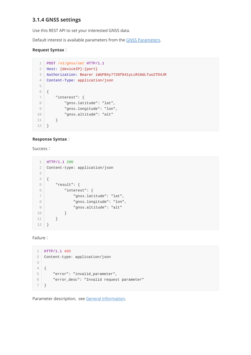### <span id="page-13-0"></span>**3.1.4 GNSS settings**

Use this REST API to set your interested GNSS data.

Default interest is available parameters from the [GNSS Parameters.](#page-29-1)

### **Request Syntax**:

```
POST /v1/gnss/set HTTP/1.1
 Host: {deviceIP}:{port}
2
 Authorization: Bearer iWUFB4y7720f841yLcR10dLTuo2TO4JR
3
    Content-Type: application/json
 {
6
        "interest": {
           "gnss.latitude": "lat",
            "gnss.longitude": "lon",
            "gnss.altitude": "alt"
        }
}
12
1
4
5
7
8
9
10
11
```
### **Response Syntax**:

Success:

```
HTTP/1.1 200
1
    Content-type: application/json
 {
4
        "result": {
           "interest": {
                "gnss.latitude": "lat",
                "gnss.longitude": "lon",
                "gnss.altitude": "alt"
           }
        }
}
12
 2
3
5
6
7
8
9
10
11
```
Failure:

```
HTTP/1.1 400
1
  Content-type: application/json
  {
       "error": "invalid_parameter",
       "error_desc": "Invalid request parameter"
  }
2
3
4
5
6
7
```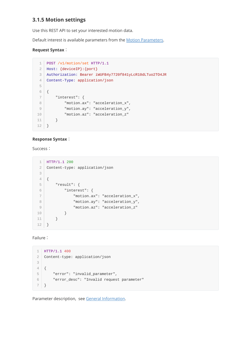## **3.1.5 Motion settings**

<span id="page-14-0"></span>Use this REST API to set your interested motion data.

Default interest is available parameters from the [Motion Parameters](#page-30-0).

### **Request Syntax**:

```
POST /v1/motion/set HTTP/1.1
1
 Host: {deviceIP}:{port}
2
 Authorization: Bearer iWUFB4y7720f841yLcR10dLTuo2TO4JR
3
    Content-Type: application/json
 {
6
        "interest": {
           "motion.ax": "acceleration_x",
            "motion.ay": "acceleration_y",
           "motion.az": "acceleration_z"
        }
}
12
4
5
7
8
9
10
11
```
### **Response Syntax**:

Success:

```
HTTP/1.1 200
1
    Content-type: application/json
 {
4
       "result": {
           "interest": {
                "motion.ax": "acceleration_x",
                "motion.ay": "acceleration_y",
                "motion.az": "acceleration_z"
           }
        }
}
12
 2
3
5
6
7
8
9
10
11
```
Failure:

```
HTTP/1.1 400
1
  Content-type: application/json
  \{"error": "invalid_parameter",
       "error_desc": "Invalid request parameter"
  }
2
3
4
5
6
7
```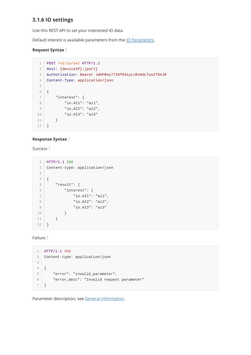## <span id="page-15-0"></span>**3.1.6 IO settings**

Use this REST API to set your interested IO data.

Default interest is available parameters from the **IO Parameters**.

### **Request Syntax**:

```
POST /v1/io/set HTTP/1.1
1
 Host: {deviceIP}:{port}
2
 Authorization: Bearer iWUFB4y7720f841yLcR10dLTuo2TO4JR
3
   Content-Type: application/json
 {
6
        "interest": {
           "io.AI1": "ai1",
           "io.AI2": "ai2",
           "io.AI3": "ai3"
        }
}
12
4
5
7
8
9
10
11
```
### **Response Syntax**:

Success:

```
HTTP/1.1 200
1
   Content-type: application/json
 {
4
     "result": {
         "interest": {
              "io.AI1": "ai1",
               "io.AI2": "ai2",
               "io.AI3": "ai3"
          }
       }
}
12
2
3
5
6
7
8
9
10
11
```
Failure:

```
HTTP/1.1 400
1
Content-type: application/json
2
{
4
       "error": "invalid_parameter",
       "error_desc": "Invalid request parameter"
  }
3
5
6
7
```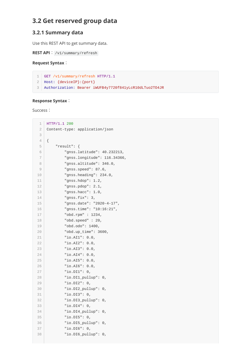# **3.2 Get reserved group data**

### <span id="page-16-0"></span>**3.2.1 Summary data**

Use this REST API to get summary data.

```
REST API: /v1/summary/refresh
```

```
Request Syntax:
```

```
GET /v1/summary/refresh HTTP/1.1
1
```

```
Host: {deviceIP}:{port}
2
```
Authorization: Bearer iWUFB4y7720f841yLcR10dLTuo2TO4JR 3

### **Response Syntax**:

Success:

```
HTTP/1.1 200
    Content-type: application/json
   {
        "result": {
            "gnss.latitude": 40.232213,
            "gnss.longitude": 116.34366,
            "gnss.altitude": 346.0,
            "gnss.speed": 87.6,
            "gnss.heading": 234.0,
            "gnss.hdop": 1.2,
            "gnss.pdop": 2.1,
            "gnss.hacc": 1.0,
            "gnss.fix": 3,
            "gnss.date": "2020-4-17",
            "gnss.time": "10:16:21",
            "obd.rpm" : 1234,
            "obd.speed" : 20,
            "obd.odo": 1400,
            "obd.up_time": 3600,
            "io.AI1": 0.0,
            "io.AI2": 0.0,
            "io.AI3": 0.0,
            "io.AI4": 0.0,
            "io.AI5": 0.0,
            "io.AI6": 0.0,
            "io.DI1": 0,
            "io.DI1_pullup": 0,
            "io.DI2": 0,
            "io.DI2_pullup": 0,
            "io.DI3": 0,
            "io.DI3_pullup": 0,
            "io.DI4": 0,
            "io.DI4_pullup": 0,
            "io.DI5": 0,
            "io.DI5_pullup": 0,
            "io.DI6": 0,
            "io.DI6_pullup": 0,
 1
 2
 3
 4
 5
 6
 7
8
9
10
11
12
13
14
15
16
17
18
19
20
212223
24
25
26
27
28
29
30
31
32
33
34
35
36
37
38
```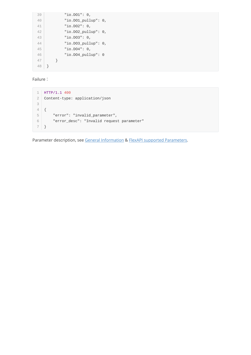"io.DO1": 0, "io.DO1\_pullup": 0, "io.DO2": 0, "io.DO2\_pullup": 0, "io.DO3": 0, "io.DO3\_pullup": 0, "io.DO4": 0, "io.DO4\_pullup": 0 } } 48 39 40 41 42 43 44 45 46 47

Failure:

|                | HTTP/1.1 400                              |
|----------------|-------------------------------------------|
| 2              | Content-type: application/json            |
| 3              |                                           |
| $\overline{4}$ |                                           |
| 5              | "error": "invalid_parameter",             |
| 6              | "error_desc": "Invalid request parameter" |
|                |                                           |

Parameter description, see [General Information](#page-4-1) & [FlexAPI supported Parameters.](#page-29-0)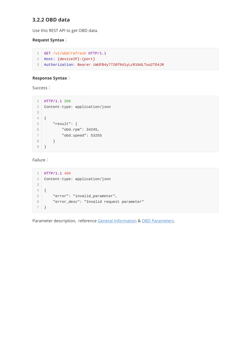### <span id="page-18-0"></span>**3.2.2 OBD data**

Use this REST API to get OBD data.

### **Request Syntax**:

```
GET /v1/obd/refresh HTTP/1.1
1
Host: {deviceIP}:{port}
2
Authorization: Bearer iWUFB4y7720f841yLcR10dLTuo2TO4JR
3
```
#### **Response Syntax**:

Success:

```
HTTP/1.1 200
1
2 | Content-type: application/json
{
4
       "result": {
           "obd.rpm": 34245,
           "obd.speed": 53255
      }
  }
3
5
6
7
8
9
```
Failure:

```
HTTP/1.1 400
1
  Content-type: application/json
{
4
       "error": "invalid_parameter",
       "error_desc": "Invalid request parameter"
  }
2
3
5
6
7
```
Parameter description, reference [General Information](#page-4-1) & [OBD Parameters](#page-31-0).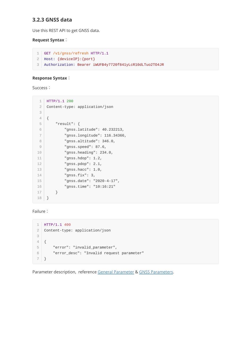### <span id="page-19-0"></span>**3.2.3 GNSS data**

Use this REST API to get GNSS data.

#### **Request Syntax**:

```
GET /v1/gnss/refresh HTTP/1.1
1
Host: {deviceIP}:{port}
2
Authorization: Bearer iWUFB4y7720f841yLcR10dLTuo2TO4JR
3
```
#### **Response Syntax**:

Success:

| $\mathbf 1$    | HTTP/1.1 200                   |
|----------------|--------------------------------|
| $\mathbf{2}$   | Content-type: application/json |
| 3              |                                |
| $\overline{4}$ | €                              |
| 5              | "result": $\{$                 |
| 6              | "gnss.latitude": 40.232213,    |
| $\overline{7}$ | "gnss.longitude": 116.34366,   |
| 8              | "gnss.altitude": 346.0,        |
| 9              | "gnss.speed": 87.6,            |
| 10             | "gnss.heading": $234.0,$       |
| 11             | "gnss.hdop": $1.2,$            |
| 12             | "gnss.pdop": $2.1$ ,           |
| 13             | "gnss.hacc": $1.0$ ,           |
| 14             | "gnss.fix": $3,$               |
| 15             | "gnss.date": "2020-4-17",      |
| 16             | "gnss.time": "10:16:21"        |
| 17             | ł                              |
| 18             | ł                              |

Failure:

```
HTTP/1.1 400
1
Content-type: application/json
2
{
4
       "error": "invalid_parameter",
       "error_desc": "Invalid request parameter"
  }
3
5
6
7
```
Parameter description, reference General Parameter & [GNSS Parameters](#page-29-1).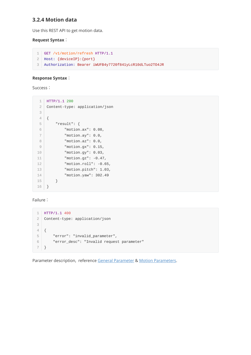### <span id="page-20-0"></span>**3.2.4 Motion data**

Use this REST API to get motion data.

#### **Request Syntax**:

```
GET /v1/motion/refresh HTTP/1.1
1
Host: {deviceIP}:{port}
2
Authorization: Bearer iWUFB4y7720f841yLcR10dLTuo2TO4JR
3
```
#### **Response Syntax**:

Success:

```
HTTP/1.1 200
1
   Content-type: application/json
 {
4
    "result": {
           "motion.ax": 0.08,
           "motion.ay": 0.0,
           "motion.az": 0.0,
           "motion.gx": 0.15,
           "motion.gy": 0.03,
           "motion.gz": -0.47,
           "motion.roll": -0.65,
           "motion.pitch": 1.03,
           "motion.yaw": 302.49
        }
}
16
 2
 3
 5
 6
7
8
9
10
11
12
13
14
15
```
#### Failure:

```
HTTP/1.1 400
1
  Content-type: application/json
{
4
       "error": "invalid_parameter",
       "error_desc": "Invalid request parameter"
   }
2
3
5
6
7
```
Parameter description, reference General Parameter & [Motion Parameters.](#page-30-0)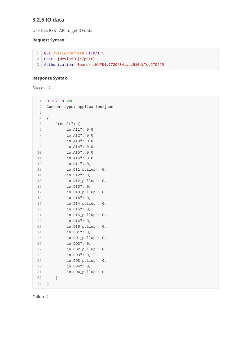### <span id="page-21-0"></span>**3.2.5 IO data**

Use this REST API to get IO data.

### **Request Syntax**:

```
GET /v1/io/refresh HTTP/1.1
1
Host: {deviceIP}:{port}
2
Authorization: Bearer iWUFB4y7720f841yLcR10dLTuo2TO4JR
3
```
### **Response Syntax**:

Success:

| 1              | HTTP/1.1 200                       |
|----------------|------------------------------------|
| $\mathfrak 2$  | Content-type: application/json     |
| 3              |                                    |
| $\varDelta$    | ₹                                  |
| 5              | "result": {                        |
| 6              | "io.AI1": $0.0$ ,                  |
| $\overline{7}$ | "io.AI2": 0.0,                     |
| 8              | "io.AI3":<br>$\theta$ . $\theta$ , |
| 9              | "io.AI4": $0.0$ ,                  |
| 10             | "io.AI5": $0.0$ ,                  |
| 11             | "io.AI6": $0.0$ ,                  |
| 12             | "io.DI1": $0,$                     |
| 13             | "io.DI1_pullup":<br>0,             |
| 14             | "io.DI2": 0,                       |
| 15             | "io.DI2_pullup":<br>0,             |
| 16             | "io.DI3": $0,$                     |
| 17             | "io.DI3_pullup":<br>0,             |
| 18             | "io.DI4": $0,$                     |
| 19             | "io.DI4_pullup":<br>0,             |
| 20             | "io.DI5": $0,$                     |
| 21             | " $io.DI5\_pullup"$ :<br>0,        |
| 22             | "io.DI6": $0,$                     |
| 23             | "io.DI6_pullup":<br>0,             |
| 24             | "io.DO1": $0,$                     |
| 25             | "io.D01_pullup":<br>0,             |
| 26             | "io.DO2": $0,$                     |
| 27             | "io.D02_pullup":<br>0,             |
| 28             | "io.DO3": $0,$                     |
| 29             | "io.D03_pullup":<br>0,             |
| 30             | "io.DO4": 0,                       |
| 31             | "io.D04_pullup":<br>0              |
| 32             | }                                  |
| 33             | }                                  |

Failure: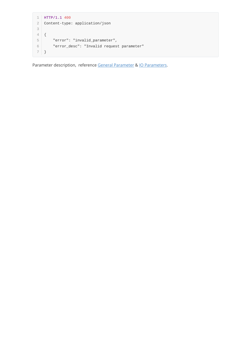```
HTTP/1.1 400
1
2 | Content-type: application/json
{
4
       "error": "invalid_parameter",
       "error_desc": "Invalid request parameter"
  }
3
5
6
7
```
Parameter description, reference General Parameter & [IO Parameters.](#page-31-1)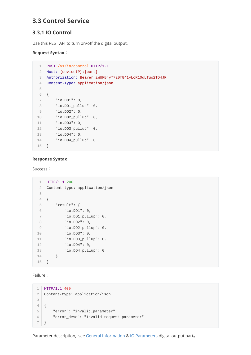# **3.3 Control Service**

## **3.3.1 IO Control**

Use this REST API to turn on/off the digital output.

### **Request Syntax**:

```
POST /v1/io/control HTTP/1.1
1
    Host: {deviceIP}:{port}
    Authorization: Bearer iWUFB4y7720f841yLcR10dLTuo2TO4JR
    Content-Type: application/json
 {
6
        "io.DO1": 0,
        "io.DO1_pullup": 0,
        "io.DO2": 0,
       "io.DO2_pullup": 0,
      "io.DO3": 0,
        "io.DO3_pullup": 0,
        "io.DO4": 0,
        "io.DO4_pullup": 0
}
15
 2
 3
 4
 5
 7
8
9
10
11
12
13
14
```
### **Response Syntax**:

Success:

```
HTTP/1.1 200
    Content-type: application/json
 {
4
     "result": {
           "io.DO1": 0,
           "io.DO1_pullup": 0,
          "io.DO2": 0,
           "io.DO2_pullup": 0,
           "io.DO3": 0,
           "io.DO3_pullup": 0,
           "io.DO4": 0,
           "io.DO4_pullup": 0
        }
}
15
 1
 2
 3
 5
 6
7
8
910
11
12
13
14
```
Failure:

```
HTTP/1.1 400
1
  Content-type: application/json
  {
       "error": "invalid_parameter",
       "error_desc": "Invalid request parameter"
  }
2
3
4
5
6
7
```
Parameter description, see [General Information](#page-4-1) & [IO Parameters](#page-31-1) digital output part.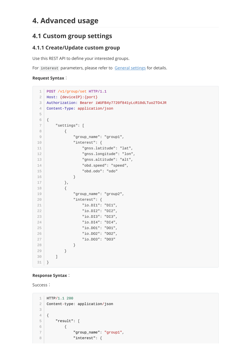# <span id="page-24-0"></span>**4. Advanced usage**

# **4.1 Custom group settings**

## <span id="page-24-1"></span>**4.1.1 Create/Update custom group**

Use this REST API to define your interested groups.

For interest parameters, please refer to [General settings](#page-8-1) for details.

#### **Request Syntax**:

```
POST /v1/group/set HTTP/1.1
    Host: {deviceIP}:{port}
    Authorization: Bearer iWUFB4y7720f841yLcR10dLTuo2TO4JR
    Content-Type: application/json
    {
        "settings": [
             {
                 "group_name": "group1",
                 "interest": {
                     "gnss.latitude": "lat",
                     "gnss.longitude": "lon",
                     "gnss.altitude": "alt",
                     "obd.speed": "speed",
                     "obd.odo": "odo"
                 }
             },
             {
                 "group_name": "group2",
                 "interest": {
                     "io.DI1": "DI1",
                     "io.DI2": "DI2",
                     "io.DI3": "DI3",
                     "io.DI4": "DI4",
                     "io.DO1": "DO1",
                     "io.DO2": "DO2",
                     "io.DO3": "DO3"
                 }
             }
        ]
}
31
1
 2
 3
 4
 5
 6
 7
 8
9
1<sub>0</sub>11
12
13
14
15
16
17
18
19
2021
22
23
24
2526
27
28
29
30
```
#### **Response Syntax**:

Success:

```
HTTP/1.1 200
   Content-type: application/json
   {
       "result": [
           {
                "group_name": "group1",
               "interest": {
1
2
3
4
5
6
7
8
```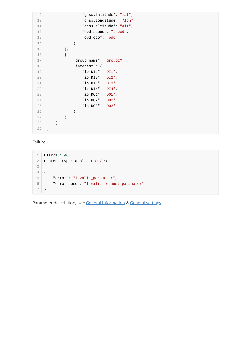```
"gnss.latitude": "lat",
                     "gnss.longitude": "lon",
                    "gnss.altitude": "alt",
                    "obd.speed": "speed",
                    "obd.odo": "odo"
                }
            },
            {
                "group_name": "group2",
                "interest": {
                    "io.DI1": "DI1",
                    "io.DI2": "DI2",
                    "io.DI3": "DI3",
                    "io.DI4": "DI4",
                    "io.DO1": "DO1",
                    "io.DO2": "DO2",
                    "io.DO3": "DO3"
                }
            }
        ]
}
29
9
10
11
12
13
14
15
16
17
18
19
20
21
22
23
24
25
26
27
28
```
Failure:

```
HTTP/1.1 400
1
  Content-type: application/json
  {
       "error": "invalid_parameter",
       "error_desc": "Invalid request parameter"
   }
2
3
4
5
6
7
```
Parameter description, see [General Information](#page-4-1) & General settings.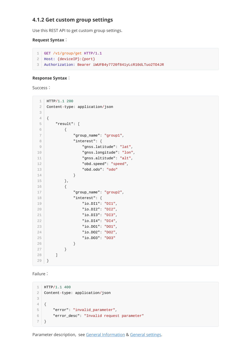### **4.1.2 Get custom group settings**

<span id="page-26-0"></span>Use this REST API to get custom group settings.

### **Request Syntax**:

```
GET /v1/group/get HTTP/1.1
1
Host: {deviceIP}:{port}
2
Authorization: Bearer iWUFB4y7720f841yLcR10dLTuo2TO4JR
3
```
#### **Response Syntax**:

Success:

| 1                                              | HTTP/1.1 200                   |
|------------------------------------------------|--------------------------------|
| $\mathbf{2}$                                   | Content-type: application/json |
| 3                                              |                                |
| $\ensuremath{\mathnormal{\mathcal{A}}}\xspace$ | {                              |
| 5                                              | "result": [                    |
| $\mathsf{6}$                                   | {                              |
| $\overline{\phantom{a}}$                       | "group_name": "group1",        |
| 8                                              | "interest": $\{$               |
| $\overline{9}$                                 | "gnss.latitude": "lat",        |
| 10                                             | "gnss.longitude": "lon",       |
| 11                                             | "gnss.altitude": "alt",        |
| 12                                             | "obd.speed": "speed",          |
| 13                                             | "obd.odo": "odo"               |
| 14                                             | }                              |
| 15                                             | },                             |
| 16                                             | €                              |
| 17                                             | "group_name": "group2",        |
| 18                                             | "interest": $\{$               |
| 19                                             | "io.DI1": "DI1",               |
| 20                                             | "io.DI2": "DI2",               |
| 21                                             | "io.DI3": "DI3",               |
| 22                                             | "io.DI4": "DI4",               |
| 23                                             | "io.D01": "D01",               |
| 24                                             | "io.DO2": "DO2",               |
| 25                                             | "io.D03": "D03"                |
| 26                                             | }                              |
| 27                                             | }                              |
| 28                                             | 1                              |
| 29                                             | }                              |

Failure:

```
HTTP/1.1 400
1
Content-type: application/json
2
{
4
       "error": "invalid_parameter",
       "error_desc": "Invalid request parameter"
  \vert }
3
5
6
7
```
Parameter description, see [General Information](#page-4-1) & General settings.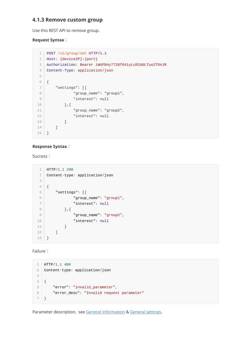### **4.1.3 Remove custom group**

Use this REST API to remove group.

### **Request Syntax**:

```
POST /v1/group/set HTTP/1.1
   Host: {deviceIP}:{port}
   Authorization: Bearer iWUFB4y7720f841yLcR10dLTuo2TO4JR
    Content-Type: application/json
   {
        "settings": [{
                "group_name": "group1",
                "interest": null
           },{
                "group_name": "group2",
                "interest": null
            }
        ]
}
15
12
3
4
5
6
7
8
9
10
11
12
13
14
```
### **Response Syntax**:

Success:

```
HTTP/1.1 200
1
    Content-type: application/json
   {
        "settings": [{
                "group_name": "group1",
                "interest": null
           },{
                "group_name": "group2",
                "interest": null
            }
        ]
}
13
 2
3
4
5
6
7
8
9
10
11
12
```
Failure:

```
HTTP/1.1 400
1
  Content-type: application/json
  {
       "error": "invalid_parameter",
       "error_desc": "Invalid request parameter"
   }
2
3
4
5
6
7
```
Parameter description, see [General Information](#page-4-1) & General settings.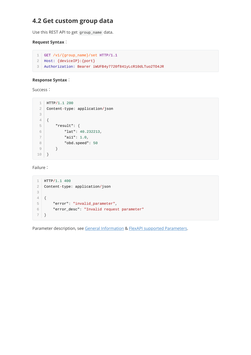# **4.2 Get custom group data**

Use this REST API to get group\_name data.

### **Request Syntax**:

```
GET /v1/{group_name}/set HTTP/1.1
1
Host: {deviceIP}:{port}
2
Authorization: Bearer iWUFB4y7720f841yLcR10dLTuo2TO4JR
3
```
### **Response Syntax**:

Success:

```
HTTP/1.1 200
1
 Content-type: application/json
2
    {
       "result": {
         "lat": 40.232213,
         "ai1": 1.0,
         "obd.speed": 50
     }
}
10
3
 4
 5
6
7
8
9
```
Failure:

```
HTTP/1.1 400
1
2 | Content-type: application/json
{
4
       "error": "invalid_parameter",
       "error_desc": "Invalid request parameter"
}
73
5
6
```
Parameter description, see [General Information](#page-4-1) & [FlexAPI supported Parameters.](#page-29-0)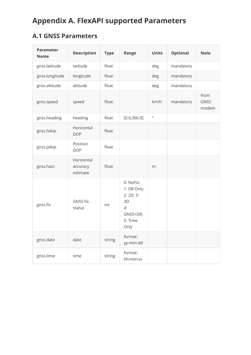# <span id="page-29-1"></span><span id="page-29-0"></span>**A.1 GNSS Parameters**

| <b>Parameter</b><br><b>Name</b> | <b>Description</b>                 | <b>Type</b> | Range                                                                         | <b>Units</b> | <b>Optional</b> | <b>Note</b>                  |
|---------------------------------|------------------------------------|-------------|-------------------------------------------------------------------------------|--------------|-----------------|------------------------------|
| gnss.latitude                   | latitude                           | float       |                                                                               | deg          | mandatory       |                              |
| gnss.longitude                  | longitude                          | float       |                                                                               | deg          | mandatory       |                              |
| gnss.altitude                   | altitude                           | float       |                                                                               | deg          | mandatory       |                              |
| gnss.speed                      | speed                              | float       |                                                                               | km/h         | mandatory       | from<br><b>GNSS</b><br>modem |
| gnss.heading                    | heading                            | float       | [0.0, 360.0]                                                                  | $\circ$      |                 |                              |
| gnss.hdop                       | Horizontal<br><b>DOP</b>           | float       |                                                                               |              |                 |                              |
| gnss.pdop                       | Position<br><b>DOP</b>             | float       |                                                                               |              |                 |                              |
| gnss.hacc                       | Horizontal<br>accuracy<br>estimate | float       |                                                                               | m            |                 |                              |
| gnss.fix                        | <b>GNSS fix</b><br>status          | int         | 0: NoFix;<br>1: DR Only<br>2:2D;3:<br>3D<br>4:<br>GNSS+DR;<br>5: Time<br>Only |              |                 |                              |
| gnss.date                       | date                               | string      | format:<br>yy-mm-dd                                                           |              |                 |                              |
| gnss.time                       | time                               | string      | format:<br>hh:mm:ss                                                           |              |                 |                              |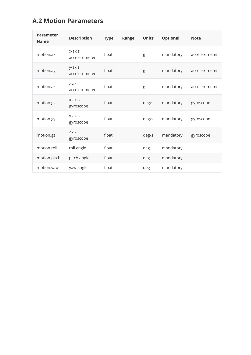# **A.2 Motion Parameters**

<span id="page-30-0"></span>

| <b>Parameter</b><br><b>Name</b> | <b>Description</b>      | <b>Type</b> | Range | <b>Units</b> | <b>Optional</b> | <b>Note</b>   |
|---------------------------------|-------------------------|-------------|-------|--------------|-----------------|---------------|
| motion.ax                       | x-axis<br>accelerometer | float       |       | g            | mandatory       | accelerometer |
| motion.ay                       | y-axis<br>accelerometer | float       |       | g            | mandatory       | accelerometer |
| motion.az                       | z-axis<br>accelerometer | float       |       | g            | mandatory       | accelerometer |
| motion.gx                       | x-axis<br>gyroscope     | float       |       | deg/s        | mandatory       | gyroscope     |
| motion.gy                       | y-axis<br>gyroscope     | float       |       | deg/s        | mandatory       | gyroscope     |
| motion.gz                       | z-axis<br>gyroscope     | float       |       | deg/s        | mandatory       | gyroscope     |
| motion.roll                     | roll angle              | float       |       | deg          | mandatory       |               |
| motion.pitch                    | pitch angle             | float       |       | deg          | mandatory       |               |
| motion.yaw                      | yaw angle               | float       |       | deg          | mandatory       |               |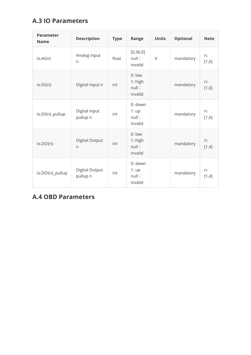# **A.3 IO Parameters**

<span id="page-31-1"></span>

| <b>Parameter</b><br><b>Name</b> | <b>Description</b>             | <b>Type</b> | Range                                   | <b>Units</b> | <b>Optional</b> | <b>Note</b> |
|---------------------------------|--------------------------------|-------------|-----------------------------------------|--------------|-----------------|-------------|
| io.Al{n}                        | Analog Input<br>$\mathsf{n}$   | float       | [0, 36.0]<br>null:<br>invalid           | V            | mandatory       | n:<br>[1,6] |
| $io.D$ {n}                      | Digital Input n                | int         | $0:$ low<br>1: high<br>null:<br>invalid |              | mandatory       | n:<br>[1,6] |
| io.DI{n}_pullup                 | Digital Input<br>pullup n      | int         | 0: down<br>1:up<br>null:<br>invalid     |              | mandatory       | n:<br>[1,6] |
| $io. DO\{n\}$                   | Digital Output<br>$\mathsf{n}$ | int         | 0: low<br>1: high<br>null:<br>invalid   |              | mandatory       | n:<br>[1,4] |
| io.DO{n}_pullup                 | Digital Output<br>pullup n     | int         | 0: down<br>1:up<br>null:<br>invalid     |              | mandatory       | n:<br>[1,4] |

# <span id="page-31-0"></span>**A.4 OBD Parameters**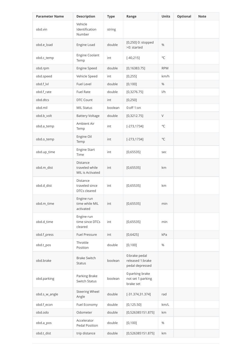| <b>Parameter Name</b> | <b>Description</b>                                       | <b>Type</b> | Range                                                | <b>Units</b> | <b>Optional</b> | <b>Note</b> |
|-----------------------|----------------------------------------------------------|-------------|------------------------------------------------------|--------------|-----------------|-------------|
| obd.vin               | Vehicle<br>Identification<br>Number                      | string      |                                                      |              |                 |             |
| obd.e_load            | Engine Load                                              | double      | [0,250] 0: stopped<br>>0: started                    | %            |                 |             |
| obd.c_temp            | Engine Coolant<br>Temp                                   | int         | $[-40, 215]$                                         | $^{\circ}$ C |                 |             |
| obd.rpm               | Engine Speed                                             | double      | [0, 16383.75]                                        | <b>RPM</b>   |                 |             |
| obd.speed             | Vehicle Speed                                            | int         | [0, 255]                                             | km/h         |                 |             |
| obd.f_lvl             | <b>Fuel Level</b>                                        | double      | [0, 100]                                             | %            |                 |             |
| obd.f_rate            | <b>Fuel Rate</b>                                         | double      | [0, 3276.75]                                         | 1/h          |                 |             |
| obd.dtcs              | DTC Count                                                | int         | [0, 250]                                             |              |                 |             |
| obd.mil               | <b>MIL Status</b>                                        | boolean     | $0:$ off 1:on                                        |              |                 |             |
| obd.b_volt            | <b>Battery Voltage</b>                                   | double      | [0, 3212.75]                                         | $\vee$       |                 |             |
| obd.a_temp            | Ambient Air<br>Temp                                      | int         | $[-273, 1734]$                                       | $^{\circ}$ C |                 |             |
| obd.o_temp            | Engine Oil<br>Temp                                       | int         | $[-273, 1734]$                                       | $^{\circ}C$  |                 |             |
| obd.up_time           | Engine Start<br>Time                                     | int         | [0,65535]                                            | sec          |                 |             |
| obd.m_dist            | Distance<br>traveled while<br>MIL is Activated           | int         | [0,65535]                                            | km           |                 |             |
| obd.d_dist            | <b>Distance</b><br>traveled since<br><b>DTCs cleared</b> | int         | [0,65535]                                            | km           |                 |             |
| obd.m_time            | Engine run<br>time while MIL<br>activated                | int         | [0,65535]                                            | min          |                 |             |
| obd.d_time            | Engine run<br>time since DTCs<br>cleared                 | int         | [0,65535]                                            | min          |                 |             |
| obd.f_press           | <b>Fuel Pressure</b>                                     | int         | [0, 6425]                                            | kPa          |                 |             |
| obd.t_pos             | Throttle<br>Position                                     | double      | [0, 100]                                             | %            |                 |             |
| obd.brake             | <b>Brake Switch</b><br><b>Status</b>                     | boolean     | 0:brake pedal<br>released 1:brake<br>pedal depressed |              |                 |             |
| obd.parking           | Parking Brake<br>Switch Status                           | boolean     | 0:parking brake<br>not set 1:parking<br>brake set    |              |                 |             |
| obd.s_w_angle         | <b>Steering Wheel</b><br>Angle                           | double      | $[-31.374, 31.374]$                                  | rad          |                 |             |
| obd.f_econ            | Fuel Economy                                             | double      | [0, 125.50]                                          | km/L         |                 |             |
| obd.odo               | Odometer                                                 | double      | [0,526385151.875]                                    | km           |                 |             |
| obd.a_pos             | Accelerator<br>Pedal Position                            | double      | [0, 100]                                             | %            |                 |             |
| obd.t_dist            | trip distance                                            | double      | [0,526385151.875]                                    | km           |                 |             |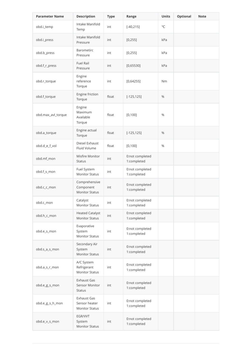| <b>Parameter Name</b> | <b>Description</b>                                    | <b>Type</b> | Range                          | <b>Units</b>   | <b>Optional</b> | <b>Note</b> |
|-----------------------|-------------------------------------------------------|-------------|--------------------------------|----------------|-----------------|-------------|
| obd.i_temp            | Intake Manifold<br>Temp                               | int         | $[-40, 215]$                   | $^{\circ}$ C   |                 |             |
| obd.i_press           | Intake Manifold<br>Pressure                           | int         | [0, 255]                       | kPa            |                 |             |
| obd.b_press           | Barometirc<br>Pressure                                | int         | [0, 255]                       | kPa            |                 |             |
| obd.f_r_press         | <b>Fuel Rail</b><br>Pressure                          | int         | [0,65530]                      | kPa            |                 |             |
| obd.r_torque          | Engine<br>reference<br>Torque                         | int         | [0, 64255]                     | N <sub>m</sub> |                 |             |
| obd.f_torque          | Engine friction<br>Torque                             | float       | $[-125, 125]$                  | %              |                 |             |
| obd.max_avl_torque    | Engine<br>Maximum<br>Available<br>Torque              | float       | [0, 100]                       | $\frac{0}{0}$  |                 |             |
| obd.a_torque          | Engine actual<br>Torque                               | float       | $[-125, 125]$                  | %              |                 |             |
| obd.d_e_f_vol         | Diesel Exhaust<br>Fluid Volume                        | float       | [0, 100]                       | $\frac{0}{0}$  |                 |             |
| obd.mf_mon            | Misfire Monitor<br><b>Status</b>                      | int         | 0:not completed<br>1:completed |                |                 |             |
| obd.f_s_mon           | Fuel System<br><b>Monitor Status</b>                  | int         | 0:not completed<br>1:completed |                |                 |             |
| obd.c_c_mon           | Comprehensive<br>Component<br><b>Monitor Status</b>   | int         | 0:not completed<br>1:completed |                |                 |             |
| obd.c_mon             | Catalyst<br><b>Monitor Status</b>                     | int         | 0:not completed<br>1:completed |                |                 |             |
| obd.h_c_mon           | <b>Heated Catalyst</b><br><b>Monitor Status</b>       | int         | 0:not completed<br>1:completed |                |                 |             |
| obd.e_s_mon           | Evaporative<br>System<br><b>Monitor Status</b>        | int         | 0:not completed<br>1:completed |                |                 |             |
| obd.s_a_s_mon         | Secondary Air<br>System<br><b>Monitor Status</b>      | int         | 0:not completed<br>1:completed |                |                 |             |
| obd.a_s_r_mon         | A/C System<br>Refrigerant<br><b>Monitor Status</b>    | int         | 0:not completed<br>1:completed |                |                 |             |
| obd.e_g_s_mon         | Exhaust Gas<br>Sensor Monitor<br><b>Status</b>        | int         | 0:not completed<br>1:completed |                |                 |             |
| obd.e_g_s_h_mon       | Exhaust Gas<br>Sensor heater<br><b>Monitor Status</b> | int         | 0:not completed<br>1:completed |                |                 |             |
| obd.e_v_s_mon         | EGR/VVT<br>System<br><b>Monitor Status</b>            | int         | 0:not completed<br>1:completed |                |                 |             |